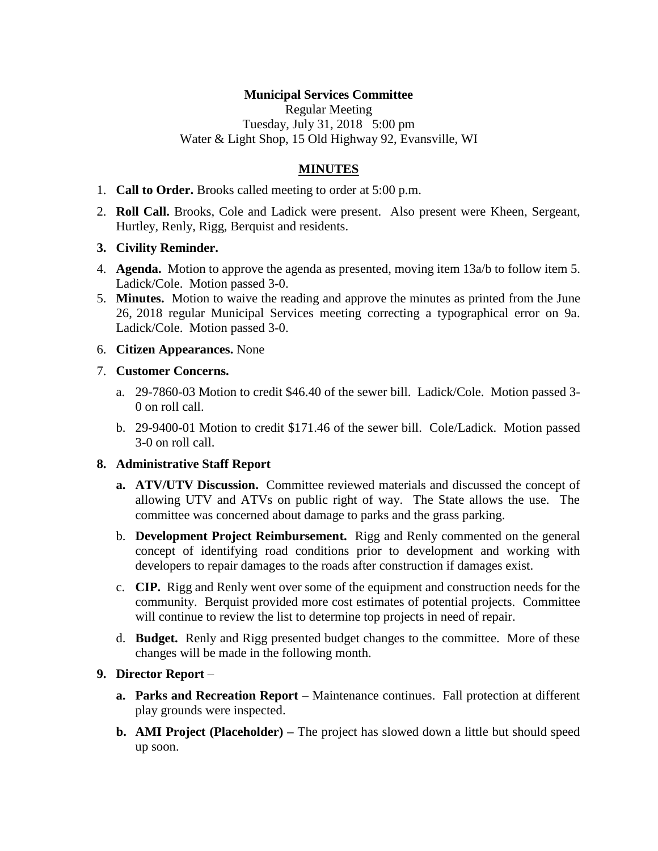## **Municipal Services Committee**

Regular Meeting Tuesday, July 31, 2018 5:00 pm Water & Light Shop, 15 Old Highway 92, Evansville, WI

# **MINUTES**

- 1. **Call to Order.** Brooks called meeting to order at 5:00 p.m.
- 2. **Roll Call.** Brooks, Cole and Ladick were present. Also present were Kheen, Sergeant, Hurtley, Renly, Rigg, Berquist and residents.

### **3. Civility Reminder.**

- 4. **Agenda.** Motion to approve the agenda as presented, moving item 13a/b to follow item 5. Ladick/Cole. Motion passed 3-0.
- 5. **Minutes.** Motion to waive the reading and approve the minutes as printed from the June 26, 2018 regular Municipal Services meeting correcting a typographical error on 9a. Ladick/Cole. Motion passed 3-0.
- 6. **Citizen Appearances.** None

#### 7. **Customer Concerns.**

- a. 29-7860-03 Motion to credit \$46.40 of the sewer bill. Ladick/Cole. Motion passed 3- 0 on roll call.
- b. 29-9400-01 Motion to credit \$171.46 of the sewer bill. Cole/Ladick. Motion passed 3-0 on roll call.

### **8. Administrative Staff Report**

- **a. ATV/UTV Discussion.** Committee reviewed materials and discussed the concept of allowing UTV and ATVs on public right of way. The State allows the use. The committee was concerned about damage to parks and the grass parking.
- b. **Development Project Reimbursement.** Rigg and Renly commented on the general concept of identifying road conditions prior to development and working with developers to repair damages to the roads after construction if damages exist.
- c. **CIP.** Rigg and Renly went over some of the equipment and construction needs for the community. Berquist provided more cost estimates of potential projects. Committee will continue to review the list to determine top projects in need of repair.
- d. **Budget.** Renly and Rigg presented budget changes to the committee. More of these changes will be made in the following month.

### **9. Director Report** –

- **a. Parks and Recreation Report** Maintenance continues. Fall protection at different play grounds were inspected.
- **b. AMI Project (Placeholder) –** The project has slowed down a little but should speed up soon.